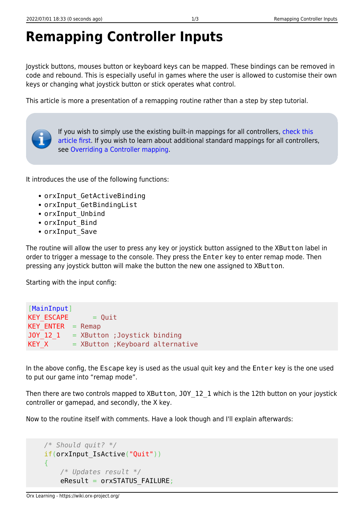## **Remapping Controller Inputs**

Joystick buttons, mouses button or keyboard keys can be mapped. These bindings can be removed in code and rebound. This is especially useful in games where the user is allowed to customise their own keys or changing what joystick button or stick operates what control.

This article is more a presentation of a remapping routine rather than a step by step tutorial.



If you wish to simply use the existing built-in mappings for all controllers, [check this](https://wiki.orx-project.org/en/tutorials/input/analog_joystick_gamepad_control) [article first.](https://wiki.orx-project.org/en/tutorials/input/analog_joystick_gamepad_control) If you wish to learn about additional standard mappings for all controllers, see [Overriding a Controller mapping.](https://wiki.orx-project.org/en/tutorials/input/overriding_controller_mapping)

It introduces the use of the following functions:

- orxInput GetActiveBinding
- orxInput\_GetBindingList
- orxInput Unbind
- orxInput Bind
- orxInput Save

The routine will allow the user to press any key or joystick button assigned to the XButton label in order to trigger a message to the console. They press the Enter key to enter remap mode. Then pressing any joystick button will make the button the new one assigned to XButton.

Starting with the input config:

```
[MainInput]
KEY ESCAPE = Quit
KEY ENTER = Remap
JOY 12 1 = XButton ; Joystick binding
KEY X = XButton;Keyboard alternative
```
In the above config, the Escape key is used as the usual quit key and the Enter key is the one used to put our game into "remap mode".

Then there are two controls mapped to XButton, J0Y 12 1 which is the 12th button on your joystick controller or gamepad, and secondly, the X key.

Now to the routine itself with comments. Have a look though and I'll explain afterwards:

```
 /* Should quit? */
 if(orxInput_IsActive("Quit"))
 {
     /* Updates result */
    eResult = orxSTATUS FAILURE;
```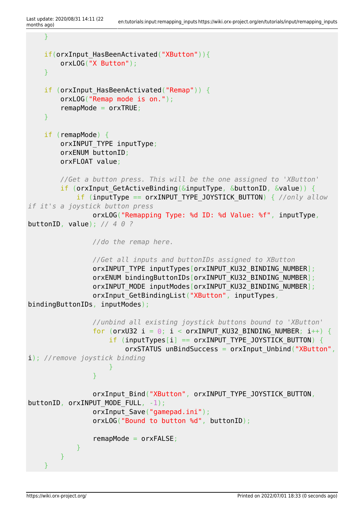```
 }
    if(orxInput HasBeenActivated("XButton")){
          orxLOG("X Button");
     }
    if (orxInput HasBeenActivated("Remap")) {
          orxLOG("Remap mode is on.");
          remapMode = orxTRUE;
     }
     if (remapMode) {
          orxINPUT_TYPE inputType;
          orxENUM buttonID;
          orxFLOAT value;
          //Get a button press. This will be the one assigned to 'XButton'
         if (orxInput_GetActiveBinding(&inputType, &buttonID, &value)) {
               if (inputType == orxINPUT_TYPE_JOYSTICK_BUTTON) { //only allow
if it's a joystick button press
                   orxLOG("Remapping Type: %d ID: %d Value: %f", inputType,
buttonID, value); // 4 0 ?
                   //do the remap here.
                   //Get all inputs and buttonIDs assigned to XButton
                  orxINPUT TYPE inputTypes[orxINPUT KU32 BINDING NUMBER];
                  orxENUM bindingButtonIDs[orxINPUT KU32 BINDING NUMBER];
                  orxINPUT_MODE_inputModes[orxINPUT_KU32_BINDING_NUMBER];
                  orxInput GetBindingList("XButton", inputTypes,
bindingButtonIDs, inputModes);
                   //unbind all existing joystick buttons bound to 'XButton'
                  for (orxU32 i = \theta; i < orxINPUT KU32 BINDING NUMBER; i++) {
                       if (inputTypes[i] == orxINPUT TYPE JOYSTICK BUTTON) {
                            orxSTATUS unBindSuccess = orxInput Unbind("XButton",
i); //remove joystick binding
denotes the control of the second property of the second property of the second property of the second property of \mathbb{R}^nand the state of the state of the state of the state of the state of the state of the state of the state of the
                  orxInput Bind("XButton", orxINPUT TYPE JOYSTICK BUTTON,
buttonID, orxINPUT MODE FULL, -1);
                  orxInput Save("gamepad.ini");
                   orxLOG("Bound to button %d", buttonID);
                   remapMode = orxFALSE;
 }
          }
 }
```